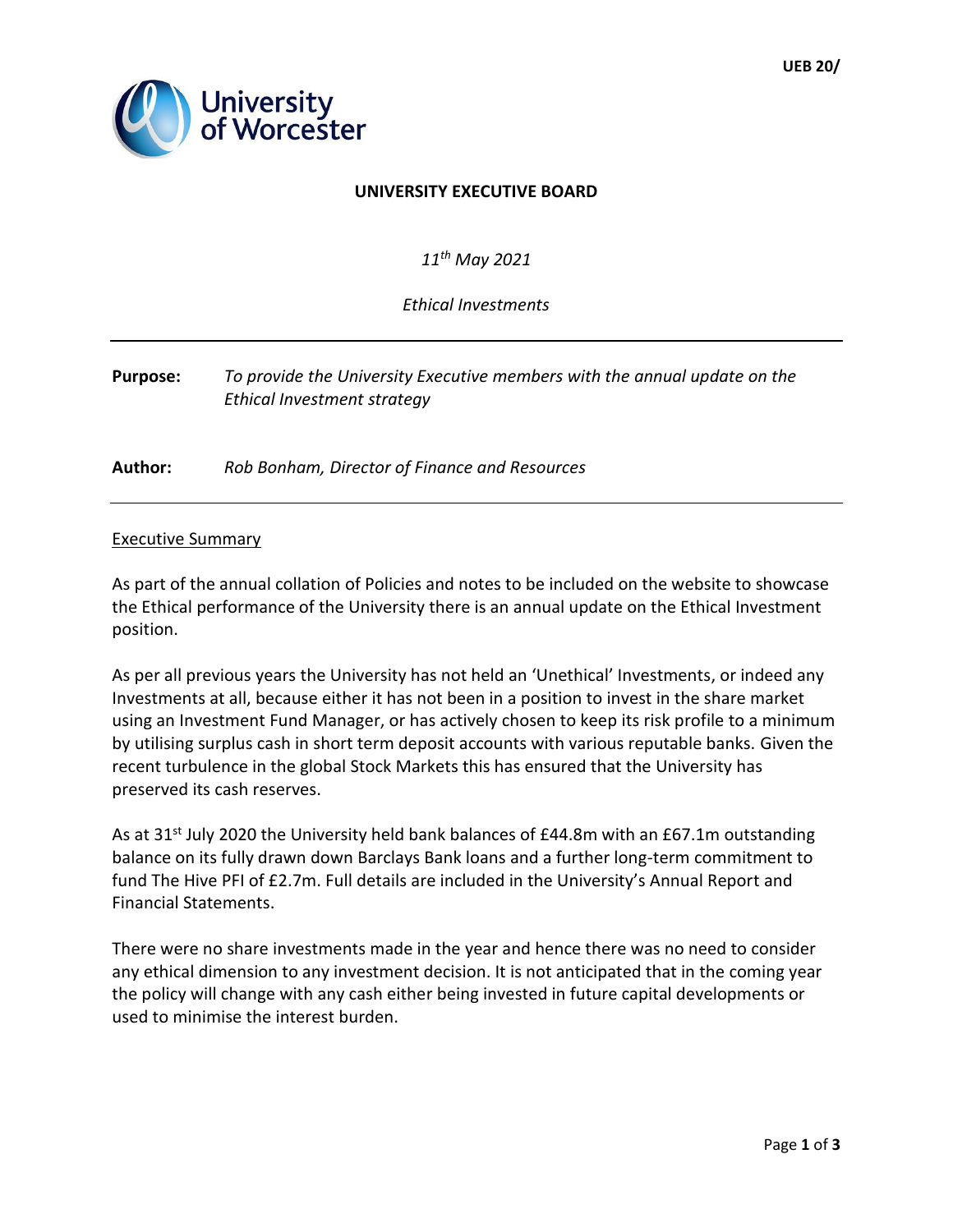

## **UNIVERSITY EXECUTIVE BOARD**

*11th May 2021* 

*Ethical Investments* 

## **Purpose:** *To provide the University Executive members with the annual update on the Ethical Investment strategy*

**Author:** *Rob Bonham, Director of Finance and Resources*

## Executive Summary

As part of the annual collation of Policies and notes to be included on the website to showcase the Ethical performance of the University there is an annual update on the Ethical Investment position.

As per all previous years the University has not held an 'Unethical' Investments, or indeed any Investments at all, because either it has not been in a position to invest in the share market using an Investment Fund Manager, or has actively chosen to keep its risk profile to a minimum by utilising surplus cash in short term deposit accounts with various reputable banks. Given the recent turbulence in the global Stock Markets this has ensured that the University has preserved its cash reserves.

As at 31<sup>st</sup> July 2020 the University held bank balances of £44.8m with an £67.1m outstanding balance on its fully drawn down Barclays Bank loans and a further long-term commitment to fund The Hive PFI of £2.7m. Full details are included in the University's Annual Report and Financial Statements.

There were no share investments made in the year and hence there was no need to consider any ethical dimension to any investment decision. It is not anticipated that in the coming year the policy will change with any cash either being invested in future capital developments or used to minimise the interest burden.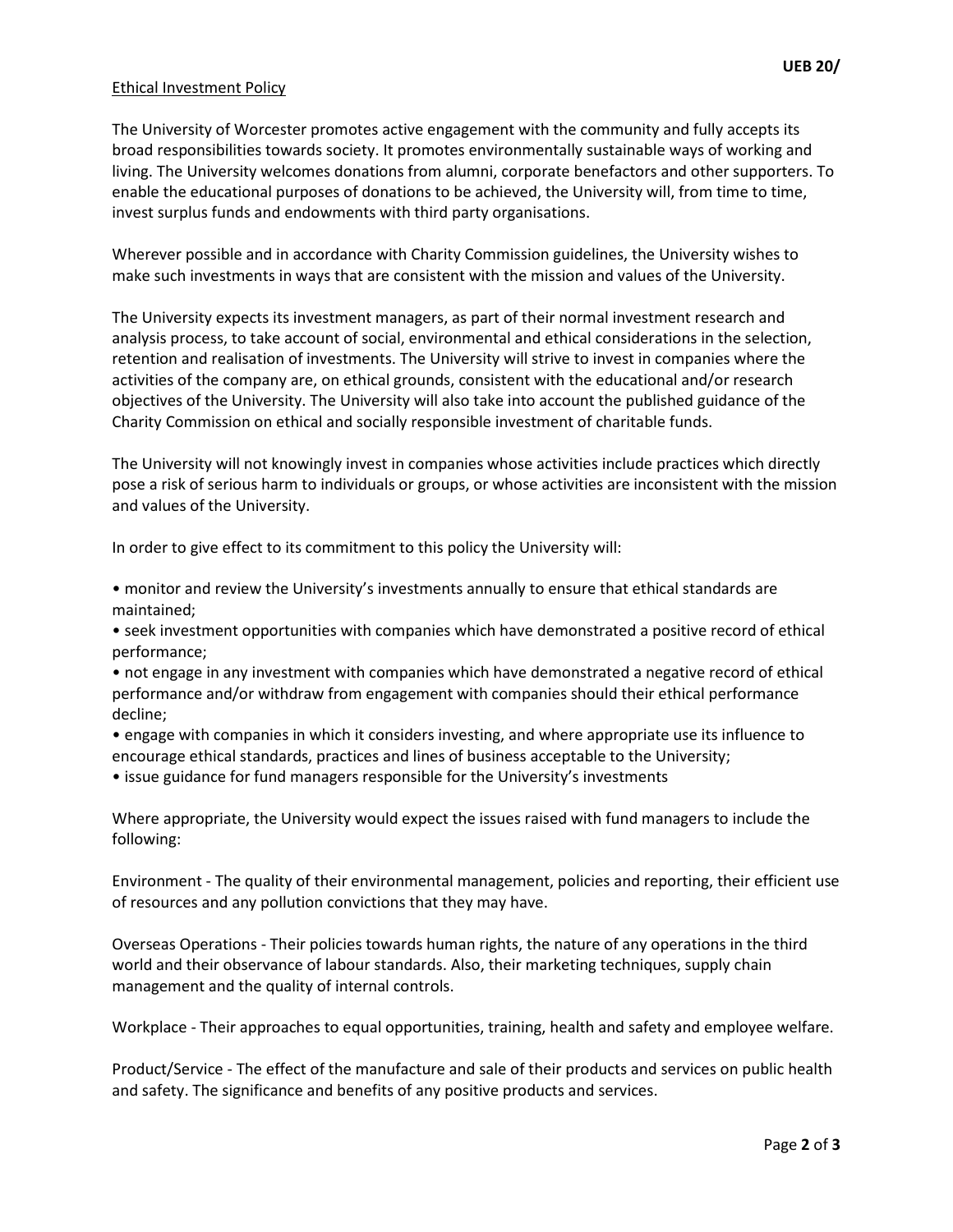## Ethical Investment Policy

The University of Worcester promotes active engagement with the community and fully accepts its broad responsibilities towards society. It promotes environmentally sustainable ways of working and living. The University welcomes donations from alumni, corporate benefactors and other supporters. To enable the educational purposes of donations to be achieved, the University will, from time to time, invest surplus funds and endowments with third party organisations.

Wherever possible and in accordance with Charity Commission guidelines, the University wishes to make such investments in ways that are consistent with the mission and values of the University.

The University expects its investment managers, as part of their normal investment research and analysis process, to take account of social, environmental and ethical considerations in the selection, retention and realisation of investments. The University will strive to invest in companies where the activities of the company are, on ethical grounds, consistent with the educational and/or research objectives of the University. The University will also take into account the published guidance of the Charity Commission on ethical and socially responsible investment of charitable funds.

The University will not knowingly invest in companies whose activities include practices which directly pose a risk of serious harm to individuals or groups, or whose activities are inconsistent with the mission and values of the University.

In order to give effect to its commitment to this policy the University will:

- monitor and review the University's investments annually to ensure that ethical standards are maintained;
- seek investment opportunities with companies which have demonstrated a positive record of ethical performance;
- not engage in any investment with companies which have demonstrated a negative record of ethical performance and/or withdraw from engagement with companies should their ethical performance decline;
- engage with companies in which it considers investing, and where appropriate use its influence to encourage ethical standards, practices and lines of business acceptable to the University;
- issue guidance for fund managers responsible for the University's investments

Where appropriate, the University would expect the issues raised with fund managers to include the following:

Environment - The quality of their environmental management, policies and reporting, their efficient use of resources and any pollution convictions that they may have.

Overseas Operations - Their policies towards human rights, the nature of any operations in the third world and their observance of labour standards. Also, their marketing techniques, supply chain management and the quality of internal controls.

Workplace - Their approaches to equal opportunities, training, health and safety and employee welfare.

Product/Service - The effect of the manufacture and sale of their products and services on public health and safety. The significance and benefits of any positive products and services.